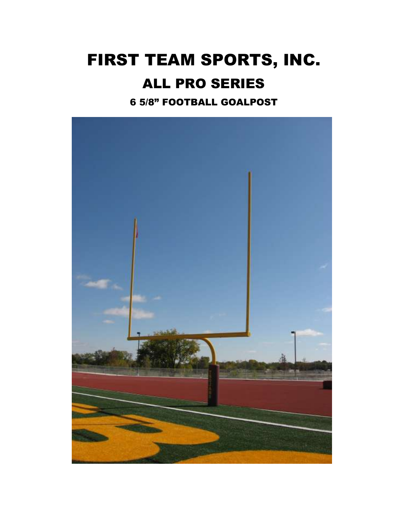# FIRST TEAM SPORTS, INC. ALL PRO SERIES

6 5/8" FOOTBALL GOALPOST

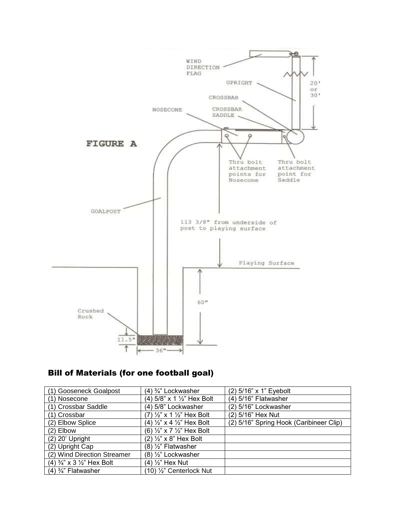

#### Bill of Materials (for one football goal)

| (1) Gooseneck Goalpost                           | (4) <sup>3</sup> / <sub>4</sub> " Lockwasher     | (2) 5/16" x 1" Eyebolt                  |
|--------------------------------------------------|--------------------------------------------------|-----------------------------------------|
| (1) Nosecone                                     | (4) 5/8" x 1 ½" Hex Bolt                         | (4) 5/16" Flatwasher                    |
| (1) Crossbar Saddle                              | (4) 5/8" Lockwasher                              | (2) 5/16" Lockwasher                    |
| (1) Crossbar                                     | (7) ½" x 1 ½" Hex Bolt                           | (2) 5/16" Hex Nut                       |
| (2) Elbow Splice                                 | (4) $\frac{1}{2}$ " x 4 $\frac{1}{2}$ " Hex Bolt | (2) 5/16" Spring Hook (Caribineer Clip) |
| $(2)$ Elbow                                      | (6) $\frac{1}{2}$ " x 7 $\frac{1}{2}$ " Hex Bolt |                                         |
| $(2)$ 20' Upright                                | $(2)$ $\frac{1}{2}$ " x 8" Hex Bolt              |                                         |
| (2) Upright Cap                                  | $(8)$ $\frac{1}{2}$ " Flatwasher                 |                                         |
| (2) Wind Direction Streamer                      | (8) 1/2" Lockwasher                              |                                         |
| $(4) \frac{3}{4}$ " x 3 $\frac{1}{2}$ " Hex Bolt | (4) 1/ <sub>2</sub> " Hex Nut                    |                                         |
| $(4)$ $\frac{3}{4}$ " Flatwasher                 | (10) 1/2" Centerlock Nut                         |                                         |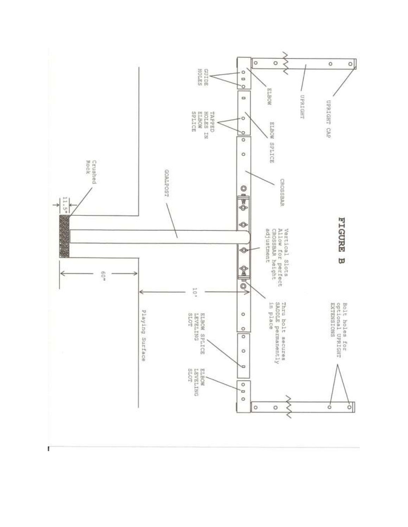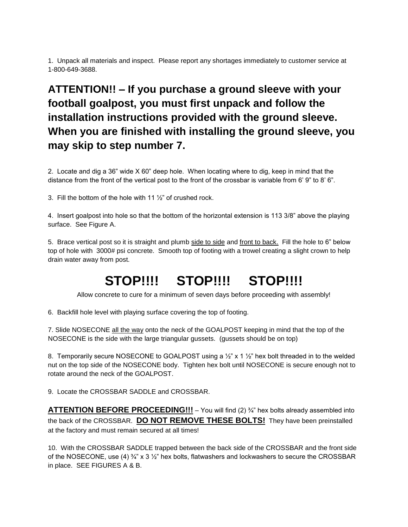1. Unpack all materials and inspect. Please report any shortages immediately to customer service at 1-800-649-3688.

#### **ATTENTION!! – If you purchase a ground sleeve with your football goalpost, you must first unpack and follow the installation instructions provided with the ground sleeve. When you are finished with installing the ground sleeve, you may skip to step number 7.**

2. Locate and dig a 36" wide X 60" deep hole. When locating where to dig, keep in mind that the distance from the front of the vertical post to the front of the crossbar is variable from 6' 9" to 8' 6".

3. Fill the bottom of the hole with 11  $\frac{1}{2}$  of crushed rock.

4. Insert goalpost into hole so that the bottom of the horizontal extension is 113 3/8" above the playing surface. See Figure A.

5. Brace vertical post so it is straight and plumb side to side and front to back. Fill the hole to 6" below top of hole with 3000# psi concrete. Smooth top of footing with a trowel creating a slight crown to help drain water away from post.

## **STOP!!!! STOP!!!! STOP!!!!**

Allow concrete to cure for a minimum of seven days before proceeding with assembly!

6. Backfill hole level with playing surface covering the top of footing.

7. Slide NOSECONE all the way onto the neck of the GOALPOST keeping in mind that the top of the NOSECONE is the side with the large triangular gussets. (gussets should be on top)

8. Temporarily secure NOSECONE to GOALPOST using a  $\frac{1}{2}$ " x 1  $\frac{1}{2}$ " hex bolt threaded in to the welded nut on the top side of the NOSECONE body. Tighten hex bolt until NOSECONE is secure enough not to rotate around the neck of the GOALPOST.

9. Locate the CROSSBAR SADDLE and CROSSBAR.

**ATTENTION BEFORE PROCEEDING!!!** – You will find (2)  $\frac{3}{4}$ " hex bolts already assembled into the back of the CROSSBAR. **DO NOT REMOVE THESE BOLTS!** They have been preinstalled at the factory and must remain secured at all times!

10. With the CROSSBAR SADDLE trapped between the back side of the CROSSBAR and the front side of the NOSECONE, use (4)  $\frac{3}{4}$ " x 3  $\frac{1}{2}$ " hex bolts, flatwashers and lockwashers to secure the CROSSBAR in place. SEE FIGURES A & B.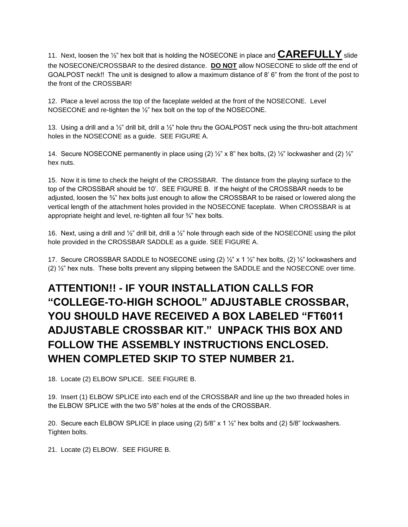11. Next, loosen the ½" hex bolt that is holding the NOSECONE in place and **CAREFULLY** slide the NOSECONE/CROSSBAR to the desired distance. **DO NOT** allow NOSECONE to slide off the end of GOALPOST neck!! The unit is designed to allow a maximum distance of 8' 6" from the front of the post to the front of the CROSSBAR!

12. Place a level across the top of the faceplate welded at the front of the NOSECONE. Level NOSECONE and re-tighten the ½" hex bolt on the top of the NOSECONE.

13. Using a drill and a  $\frac{1}{2}$ " drill bit, drill a  $\frac{1}{2}$ " hole thru the GOALPOST neck using the thru-bolt attachment holes in the NOSECONE as a guide. SEE FIGURE A.

14. Secure NOSECONE permanently in place using (2) ½" x 8" hex bolts, (2) ½" lockwasher and (2) ½" hex nuts.

15. Now it is time to check the height of the CROSSBAR. The distance from the playing surface to the top of the CROSSBAR should be 10'. SEE FIGURE B. If the height of the CROSSBAR needs to be adjusted, loosen the <sup>3</sup>/4" hex bolts just enough to allow the CROSSBAR to be raised or lowered along the vertical length of the attachment holes provided in the NOSECONE faceplate. When CROSSBAR is at appropriate height and level, re-tighten all four ¾" hex bolts.

16. Next, using a drill and  $\frac{1}{2}$ " drill bit, drill a  $\frac{1}{2}$ " hole through each side of the NOSECONE using the pilot hole provided in the CROSSBAR SADDLE as a guide. SEE FIGURE A.

17. Secure CROSSBAR SADDLE to NOSECONE using (2)  $\frac{1}{2}$ " x 1  $\frac{1}{2}$ " hex bolts, (2)  $\frac{1}{2}$ " lockwashers and (2) ½" hex nuts. These bolts prevent any slipping between the SADDLE and the NOSECONE over time.

### **ATTENTION!! - IF YOUR INSTALLATION CALLS FOR "COLLEGE-TO-HIGH SCHOOL" ADJUSTABLE CROSSBAR, YOU SHOULD HAVE RECEIVED A BOX LABELED "FT6011 ADJUSTABLE CROSSBAR KIT." UNPACK THIS BOX AND FOLLOW THE ASSEMBLY INSTRUCTIONS ENCLOSED. WHEN COMPLETED SKIP TO STEP NUMBER 21.**

18. Locate (2) ELBOW SPLICE. SEE FIGURE B.

19. Insert (1) ELBOW SPLICE into each end of the CROSSBAR and line up the two threaded holes in the ELBOW SPLICE with the two 5/8" holes at the ends of the CROSSBAR.

20. Secure each ELBOW SPLICE in place using (2) 5/8" x 1 ½" hex bolts and (2) 5/8" lockwashers. Tighten bolts.

21. Locate (2) ELBOW. SEE FIGURE B.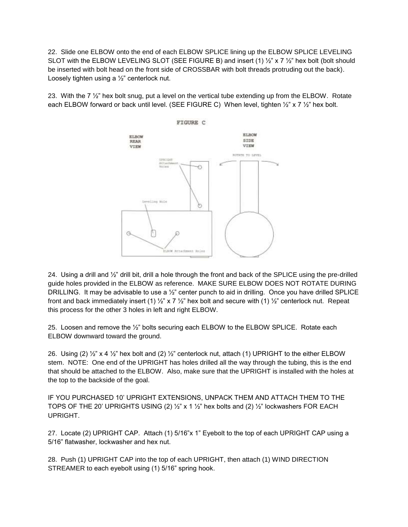22. Slide one ELBOW onto the end of each ELBOW SPLICE lining up the ELBOW SPLICE LEVELING SLOT with the ELBOW LEVELING SLOT (SEE FIGURE B) and insert (1)  $\frac{1}{2}$  x 7  $\frac{1}{2}$  hex bolt (bolt should be inserted with bolt head on the front side of CROSSBAR with bolt threads protruding out the back). Loosely tighten using a ½" centerlock nut.

23. With the  $7\frac{1}{2}$ " hex bolt snug, put a level on the vertical tube extending up from the ELBOW. Rotate each ELBOW forward or back until level. (SEE FIGURE C) When level, tighten 1/2" x 7 1/2" hex bolt.



24. Using a drill and  $\frac{1}{2}$ " drill bit, drill a hole through the front and back of the SPLICE using the pre-drilled guide holes provided in the ELBOW as reference. MAKE SURE ELBOW DOES NOT ROTATE DURING DRILLING. It may be advisable to use a  $\frac{1}{2}$ " center punch to aid in drilling. Once you have drilled SPLICE front and back immediately insert (1)  $\frac{1}{2}$ " x 7  $\frac{1}{2}$ " hex bolt and secure with (1)  $\frac{1}{2}$ " centerlock nut. Repeat this process for the other 3 holes in left and right ELBOW.

25. Loosen and remove the ½" bolts securing each ELBOW to the ELBOW SPLICE. Rotate each ELBOW downward toward the ground.

26. Using (2)  $\frac{1}{2}$  x 4  $\frac{1}{2}$  hex bolt and (2)  $\frac{1}{2}$  centerlock nut, attach (1) UPRIGHT to the either ELBOW stem. NOTE: One end of the UPRIGHT has holes drilled all the way through the tubing, this is the end that should be attached to the ELBOW. Also, make sure that the UPRIGHT is installed with the holes at the top to the backside of the goal.

IF YOU PURCHASED 10' UPRIGHT EXTENSIONS, UNPACK THEM AND ATTACH THEM TO THE TOPS OF THE 20' UPRIGHTS USING (2)  $\frac{1}{2}$ " x 1  $\frac{1}{2}$ " hex bolts and (2)  $\frac{1}{2}$ " lockwashers FOR EACH UPRIGHT.

27. Locate (2) UPRIGHT CAP. Attach (1) 5/16"x 1" Eyebolt to the top of each UPRIGHT CAP using a 5/16" flatwasher, lockwasher and hex nut.

28. Push (1) UPRIGHT CAP into the top of each UPRIGHT, then attach (1) WIND DIRECTION STREAMER to each eyebolt using (1) 5/16" spring hook.